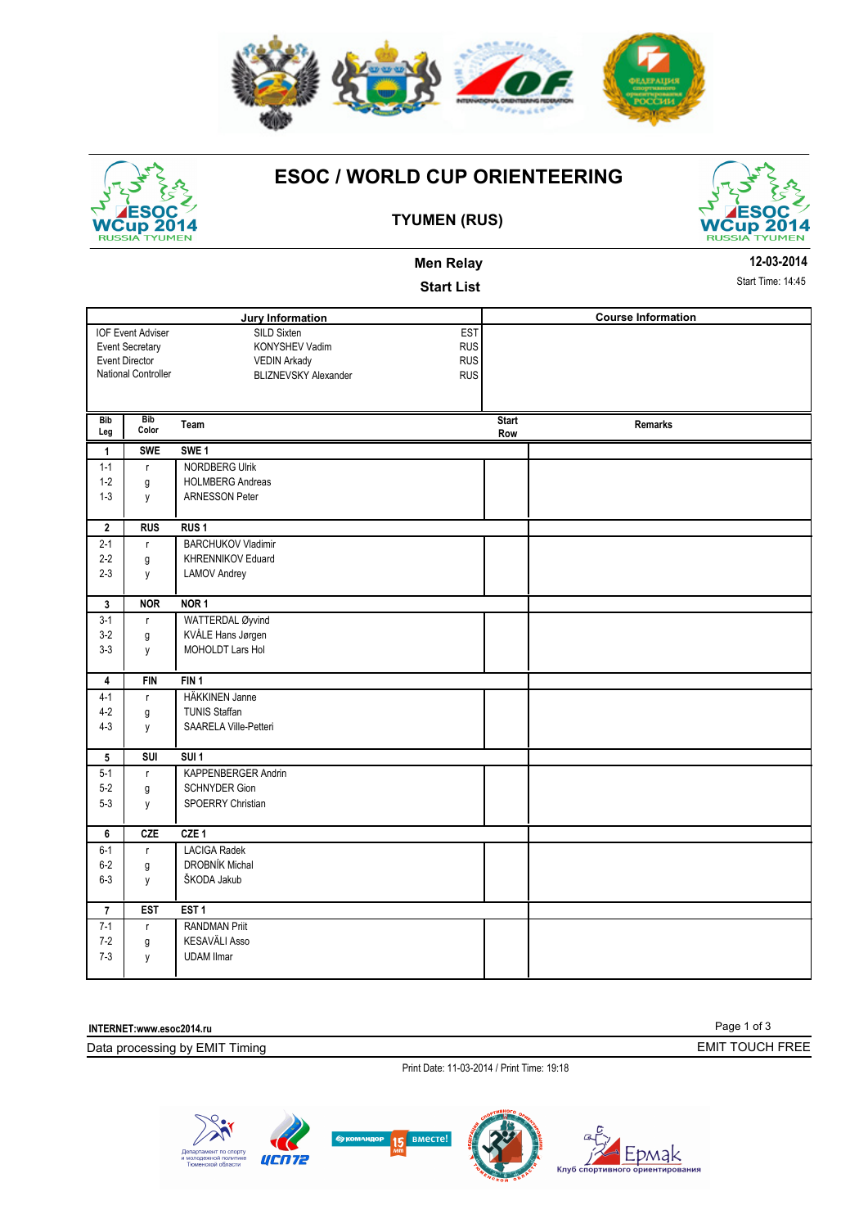

# WCup 2014

## **ESOC / WORLD CUP ORIENTEERING**



### **TYUMEN (RUS)**

|                   |                          | <b>Men Relay</b>                          |                     |                           | 12-03-2014        |
|-------------------|--------------------------|-------------------------------------------|---------------------|---------------------------|-------------------|
|                   |                          | <b>Start List</b>                         |                     |                           | Start Time: 14:45 |
|                   |                          | Jury Information                          |                     | <b>Course Information</b> |                   |
|                   | <b>IOF Event Adviser</b> | <b>EST</b><br>SILD Sixten                 |                     |                           |                   |
|                   | <b>Event Secretary</b>   | <b>RUS</b><br>KONYSHEV Vadim              |                     |                           |                   |
|                   | <b>Event Director</b>    | <b>RUS</b><br><b>VEDIN Arkady</b>         |                     |                           |                   |
|                   | National Controller      | <b>BLIZNEVSKY Alexander</b><br><b>RUS</b> |                     |                           |                   |
|                   |                          |                                           |                     |                           |                   |
| <b>Bib</b><br>Leg | <b>Bib</b><br>Color      | Team                                      | <b>Start</b><br>Row | <b>Remarks</b>            |                   |
| $\mathbf{1}$      | <b>SWE</b>               | SWE <sub>1</sub>                          |                     |                           |                   |
| $1 - 1$           | $\mathsf{r}$             | <b>NORDBERG Ulrik</b>                     |                     |                           |                   |
| $1 - 2$           | g                        | <b>HOLMBERG Andreas</b>                   |                     |                           |                   |
| $1 - 3$           | y                        | <b>ARNESSON Peter</b>                     |                     |                           |                   |
| $\overline{2}$    | <b>RUS</b>               | RUS <sub>1</sub>                          |                     |                           |                   |
| $2 - 1$           | $\mathsf{r}$             | <b>BARCHUKOV Vladimir</b>                 |                     |                           |                   |
| $2 - 2$           | g                        | KHRENNIKOV Eduard                         |                     |                           |                   |
| $2 - 3$           | y                        | <b>LAMOV Andrey</b>                       |                     |                           |                   |
|                   |                          |                                           |                     |                           |                   |
| 3                 | <b>NOR</b>               | NOR <sub>1</sub>                          |                     |                           |                   |
| $3-1$             | $\mathsf{r}$             | WATTERDAL Øyvind                          |                     |                           |                   |
| $3-2$             | g                        | KVÅLE Hans Jørgen                         |                     |                           |                   |
| $3 - 3$           | y                        | MOHOLDT Lars Hol                          |                     |                           |                   |
| 4                 | <b>FIN</b>               | FIN <sub>1</sub>                          |                     |                           |                   |
| $4 - 1$           | $\mathsf{r}$             | HÄKKINEN Janne                            |                     |                           |                   |
| $4 - 2$           | g                        | <b>TUNIS Staffan</b>                      |                     |                           |                   |
| $4 - 3$           | y                        | SAARELA Ville-Petteri                     |                     |                           |                   |
| 5                 | SUI                      | SUI <sub>1</sub>                          |                     |                           |                   |
| $5 - 1$           | $\mathsf{r}$             | KAPPENBERGER Andrin                       |                     |                           |                   |
| $5 - 2$           | g                        | <b>SCHNYDER Gion</b>                      |                     |                           |                   |
| $5 - 3$           | y                        | SPOERRY Christian                         |                     |                           |                   |
|                   |                          |                                           |                     |                           |                   |
| 6                 | <b>CZE</b>               | CZE <sub>1</sub>                          |                     |                           |                   |
| $6 - 1$           | $\mathsf{r}$             | <b>LACIGA Radek</b>                       |                     |                           |                   |
| $6-2$             | g                        | DROBNÍK Michal                            |                     |                           |                   |
| $6 - 3$           | y                        | ŠKODA Jakub                               |                     |                           |                   |
| $\overline{7}$    | <b>EST</b>               | EST <sub>1</sub>                          |                     |                           |                   |
| $7-1$             | $\mathsf{r}$             | <b>RANDMAN Priit</b>                      |                     |                           |                   |
| $7 - 2$           | g                        | KESAVÄLI Asso                             |                     |                           |                   |
| $7 - 3$           | y                        | <b>UDAM Ilmar</b>                         |                     |                           |                   |
|                   |                          |                                           |                     |                           |                   |

**INTERNET:www.esoc2014.ru** 

Data processing by EMIT Timing

Print Date: 11-03-2014 / Print Time: 19:18



Page 1 of 3

EMIT TOUCH FREE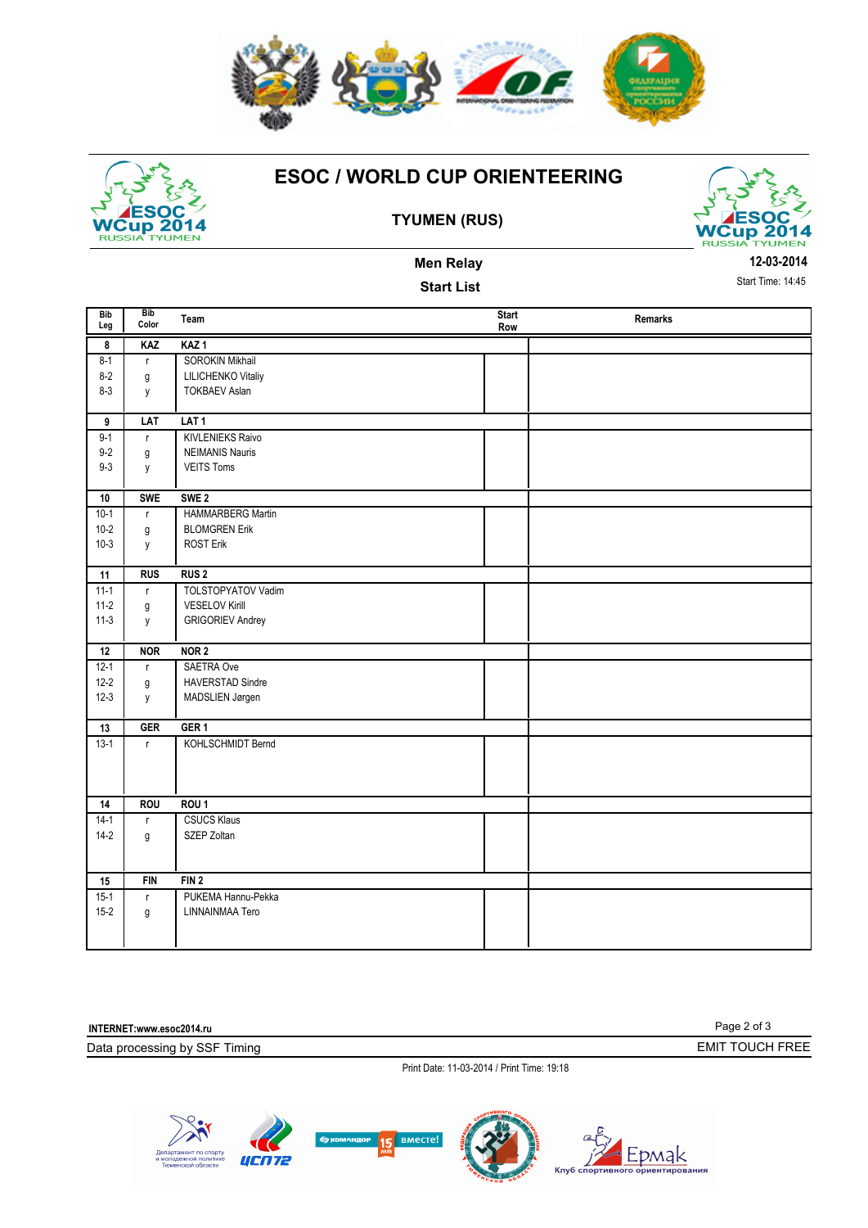



## **ESOC / WORLD CUP ORIENTEERING**



**12-03-2014** Start Time: 14:45

#### **TYUMEN (RUS)**

**Men Relay Start List** 

| <b>Bib</b><br>Leg | <b>Bib</b><br>Color | Team                    | <b>Start</b><br>Row | Remarks |
|-------------------|---------------------|-------------------------|---------------------|---------|
| 8                 | KAZ                 | KAZ <sub>1</sub>        |                     |         |
| $8 - 1$           | $\mathsf{r}$        | SOROKIN Mikhail         |                     |         |
| $8-2$             | g                   | LILICHENKO Vitaliy      |                     |         |
| $8 - 3$           | y                   | <b>TOKBAEV Aslan</b>    |                     |         |
|                   |                     |                         |                     |         |
| 9                 | LAT                 | LAT <sub>1</sub>        |                     |         |
| $9 - 1$           | $\mathsf{r}$        | <b>KIVLENIEKS Raivo</b> |                     |         |
| $9 - 2$           | g                   | <b>NEIMANIS Nauris</b>  |                     |         |
| $9 - 3$           | y                   | <b>VEITS Toms</b>       |                     |         |
|                   |                     |                         |                     |         |
| 10                | <b>SWE</b>          | SWE <sub>2</sub>        |                     |         |
| $10-1$            | $\mathsf{r}$        | HAMMARBERG Martin       |                     |         |
| $10-2$            | g                   | <b>BLOMGREN Erik</b>    |                     |         |
| $10-3$            | у                   | <b>ROST Erik</b>        |                     |         |
|                   |                     |                         |                     |         |
| 11                | <b>RUS</b>          | RUS <sub>2</sub>        |                     |         |
| $11 - 1$          | $\mathsf{r}$        | TOLSTOPYATOV Vadim      |                     |         |
| $11-2$            | g                   | <b>VESELOV Kirill</b>   |                     |         |
| $11-3$            | y                   | <b>GRIGORIEV Andrey</b> |                     |         |
| 12                | <b>NOR</b>          | NOR <sub>2</sub>        |                     |         |
| $12 - 1$          |                     | SAETRA Ove              |                     |         |
| $12 - 2$          | $\mathsf{r}$        | <b>HAVERSTAD Sindre</b> |                     |         |
| $12-3$            | g                   |                         |                     |         |
|                   | y                   | MADSLIEN Jørgen         |                     |         |
| 13                | GER                 | GER <sub>1</sub>        |                     |         |
| $13-1$            | $\mathsf{r}$        | KOHLSCHMIDT Bernd       |                     |         |
|                   |                     |                         |                     |         |
|                   |                     |                         |                     |         |
|                   |                     |                         |                     |         |
| 14                | <b>ROU</b>          | ROU <sub>1</sub>        |                     |         |
| $14-1$            | $\mathsf{r}$        | <b>CSUCS Klaus</b>      |                     |         |
| $14-2$            | g                   | SZEP Zoltan             |                     |         |
|                   |                     |                         |                     |         |
|                   |                     |                         |                     |         |
| 15                | <b>FIN</b>          | FIN <sub>2</sub>        |                     |         |
| $15-1$            | $\mathsf{r}$        | PUKEMA Hannu-Pekka      |                     |         |
| $15-2$            | g                   | LINNAINMAA Tero         |                     |         |
|                   |                     |                         |                     |         |
|                   |                     |                         |                     |         |

Page 2 of 3 Data processing by SSF Timing **INTERNET:www.esoc2014.ru**  Print Date: 11-03-2014 / Print Time: 19:18 EMIT TOUCH FREE